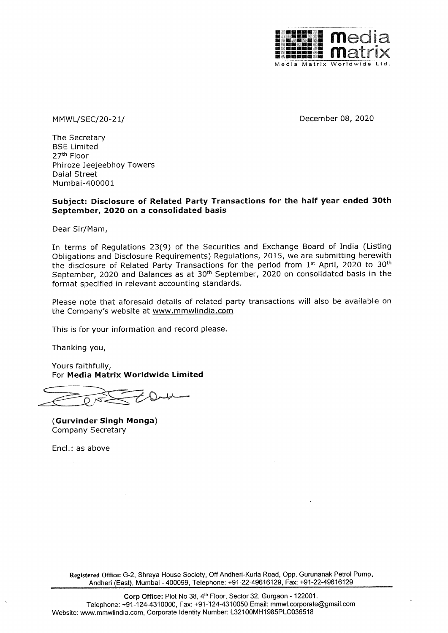

MMWL/SEC/20-21/ December 08, 2020

The Secretary BSE Limited 27<sup>th</sup> Floor Phiroze Jeejeebhoy Towers Dalal Street Mumbai-400001

# Subject: Disclosure of Related Party Transactions for the half year ended 30th September, 2020 on a consolidated basis

Dear Sir/Mam,

In terms of Regulations 23(9) of the Securities and Exchange Board of India (Listing Obligations and Disclosure Requirements) Regulations, 2015, we are submitting herewith the disclosure of Related Party Transactions for the period from 1<sup>st</sup> April, 2020 to 30<sup>th</sup> September, 2020 and Balances as at 30<sup>th</sup> September, 2020 on consolidated basis in the format specified in relevant accounting standards.

Please note that aforesaid details of related party transactions will also be available on the Company's website at www.mmwlindia.com

This is for your information and record please.

Thanking you,

Yours faithfully, For Media Matrix Worldwide Limited

(Gurvinder Singh Monga) Company Secretary

Encl.: as above

Registered Office: G-2, Shreya House Society, Off Andheri-Kurla Road, Opp. Gurunanak Petrol Pump, Andheri (East), Mumbai - 400099, Telephone: +91-22-49616129, Fax: +91-22-49616129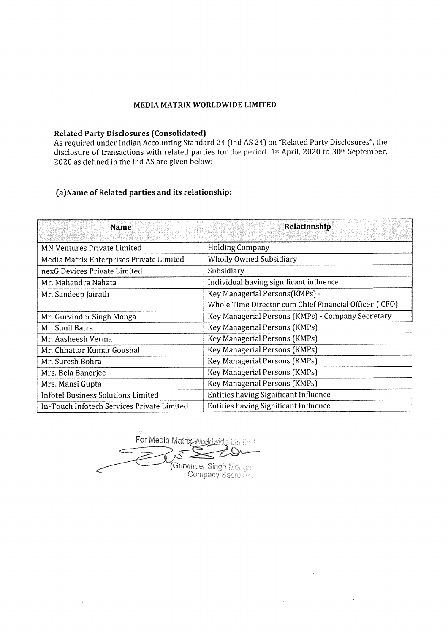# MEDIA MATRIX WORLDWIDE LIMITED

# Related Party Disclosures (Consolidated)

As required under Indian Accounting Standard 24 (Ind AS 24) on "Related Party Disclosures", the disclosure of transactions with related parties for the period: 1st April, 2020 to 30<sup>th</sup> September, 2020 as defined in the Ind AS are given below: MEDIA MATRIX WORLD<br>
Related Party Disclosures (Consolidated)<br>
As required under Indian Accounting Standard 24<br>
disclosure of transactions with related parties fo<br>
2020 as defined in the Ind AS are given below:<br>
(a)Name of Insactions with Felated parties for the period. 1<sup>26</sup> April, 2020 to<br>in the Ind AS are given below:<br>ated parties and its relationship:<br>Name Relationship

## (a)Name of Related parties and its relationship:

|                                                                                                   | <b>MEDIA MATRIX WORLDWIDE LIMITED</b>                                                                                                                                                                 |
|---------------------------------------------------------------------------------------------------|-------------------------------------------------------------------------------------------------------------------------------------------------------------------------------------------------------|
|                                                                                                   |                                                                                                                                                                                                       |
| <b>Related Party Disclosures (Consolidated)</b><br>2020 as defined in the Ind AS are given below: | As required under Indian Accounting Standard 24 (Ind AS 24) on "Related Party Disclosures", the<br>disclosure of transactions with related parties for the period: 1st April, 2020 to 30th September, |
| (a) Name of Related parties and its relationship:                                                 |                                                                                                                                                                                                       |
| <b>Name</b>                                                                                       | Relationship                                                                                                                                                                                          |
|                                                                                                   |                                                                                                                                                                                                       |
| <b>MN Ventures Private Limited</b>                                                                | <b>Holding Company</b>                                                                                                                                                                                |
| Media Matrix Enterprises Private Limited                                                          | <b>Wholly Owned Subsidiary</b>                                                                                                                                                                        |
| nexG Devices Private Limited                                                                      | Subsidiary                                                                                                                                                                                            |
| Mr. Mahendra Nahata                                                                               | Individual having significant influence                                                                                                                                                               |
| Mr. Sandeep Jairath                                                                               | Key Managerial Persons(KMPs) -<br>Whole Time Director cum Chief Financial Officer (CFO)                                                                                                               |
|                                                                                                   |                                                                                                                                                                                                       |
| Mr. Gurvinder Singh Monga<br>Mr. Sunil Batra                                                      | Key Managerial Persons (KMPs) - Company Secretary                                                                                                                                                     |
| Mr. Aasheesh Verma                                                                                | Key Managerial Persons (KMPs)<br>Key Managerial Persons (KMPs)                                                                                                                                        |
| Mr. Chhattar Kumar Goushal                                                                        | Key Managerial Persons (KMPs)                                                                                                                                                                         |
| Mr. Suresh Bohra                                                                                  | Key Managerial Persons (KMPs)                                                                                                                                                                         |
| Mrs. Bela Banerjee                                                                                | Key Managerial Persons (KMPs)                                                                                                                                                                         |
| Mrs. Mansi Gupta                                                                                  | Key Managerial Persons (KMPs)                                                                                                                                                                         |
| <b>Infotel Business Solutions Limited</b>                                                         | <b>Entities having Significant Influence</b>                                                                                                                                                          |

rix y  $\frac{1}{\sin(1)}$ For Media Matrix Aforklwide (Gurvinder Sin

Company

 $\lambda$